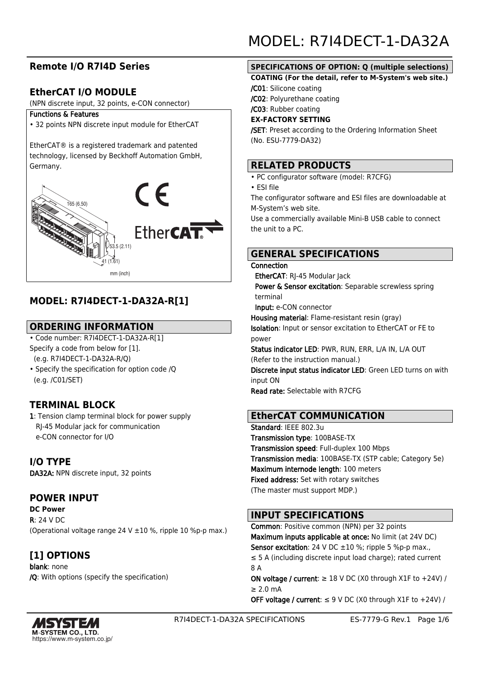# **Remote I/O R7I4D Series**

# **EtherCAT I/O MODULE**

(NPN discrete input, 32 points, e-CON connector)

#### Functions & Features

• 32 points NPN discrete input module for EtherCAT

EtherCAT® is a registered trademark and patented technology, licensed by Beckhoff Automation GmbH, Germany.



# **MODEL: R7I4DECT-1-DA32A-R[1]**

## **ORDERING INFORMATION**

• Code number: R7I4DECT-1-DA32A-R[1] Specify a code from below for [1]. (e.g. R7I4DECT-1-DA32A-R/Q)

• Specify the specification for option code /Q (e.g. /C01/SET)

# **TERMINAL BLOCK**

1: Tension clamp terminal block for power supply RJ-45 Modular jack for communication e-CON connector for I/O

**I/O TYPE** DA32A: NPN discrete input, 32 points

# **POWER INPUT**

**DC Power** R: 24 V DC (Operational voltage range 24 V  $\pm$ 10 %, ripple 10 %p-p max.)

**[1] OPTIONS** blank: none /Q: With options (specify the specification)

## **SPECIFICATIONS OF OPTION: Q (multiple selections)**

#### **COATING (For the detail, refer to M-System's web site.)**

/C01: Silicone coating

/C02: Polyurethane coating

/C03: Rubber coating

#### **EX-FACTORY SETTING**

/SET: Preset according to the Ordering Information Sheet (No. ESU-7779-DA32)

## **RELATED PRODUCTS**

- PC configurator software (model: R7CFG)
- ESI file

The configurator software and ESI files are downloadable at M-System's web site.

Use a commercially available Mini-B USB cable to connect the unit to a PC.

## **GENERAL SPECIFICATIONS**

#### Connection

EtherCAT: RI-45 Modular lack

Power & Sensor excitation: Separable screwless spring terminal

Input: e-CON connector

Housing material: Flame-resistant resin (gray) Isolation: Input or sensor excitation to EtherCAT or FE to power

Status indicator LED: PWR, RUN, ERR, L/A IN, L/A OUT (Refer to the instruction manual.)

Discrete input status indicator LED: Green LED turns on with input ON

Read rate: Selectable with R7CFG

## **EtherCAT COMMUNICATION**

Standard: IEEE 802.3u Transmission type: 100BASE-TX Transmission speed: Full-duplex 100 Mbps Transmission media: 100BASE-TX (STP cable; Category 5e) Maximum internode length: 100 meters Fixed address: Set with rotary switches (The master must support MDP.)

# **INPUT SPECIFICATIONS**

Common: Positive common (NPN) per 32 points Maximum inputs applicable at once: No limit (at 24V DC) **Sensor excitation**: 24 V DC  $\pm 10$  %; ripple 5 %p-p max., ≤ 5 A (including discrete input load charge); rated current 8 A

ON voltage / current:  $\geq$  18 V DC (X0 through X1F to +24V) /  $> 2.0$  mA

OFF voltage / current:  $\leq$  9 V DC (X0 through X1F to +24V) /

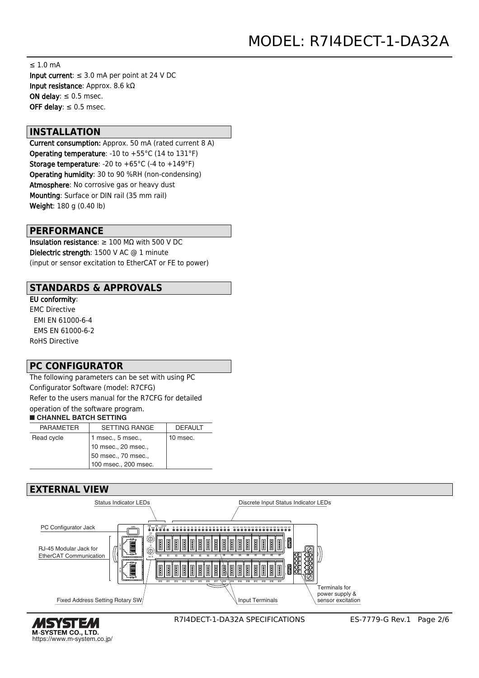≤ 1.0 mA Input current:  $\leq 3.0$  mA per point at 24 V DC Input resistance: Approx. 8.6 kΩ ON delay:  $\leq 0.5$  msec. OFF delay:  $\leq 0.5$  msec.

#### **INSTALLATION**

Current consumption: Approx. 50 mA (rated current 8 A) Operating temperature: -10 to +55°C (14 to 131°F) **Storage temperature:** -20 to  $+65^{\circ}$ C (-4 to  $+149^{\circ}$ F) Operating humidity: 30 to 90 %RH (non-condensing) Atmosphere: No corrosive gas or heavy dust Mounting: Surface or DIN rail (35 mm rail) Weight: 180 g (0.40 lb)

#### **PERFORMANCE**

Insulation resistance: ≥ 100 MΩ with 500 V DC Dielectric strength: 1500 V AC @ 1 minute (input or sensor excitation to EtherCAT or FE to power)

### **STANDARDS & APPROVALS**

EU conformity: EMC Directive EMI EN 61000-6-4 EMS EN 61000-6-2 RoHS Directive

## **PC CONFIGURATOR**

The following parameters can be set with using PC Configurator Software (model: R7CFG) Refer to the users manual for the R7CFG for detailed operation of the software program.

#### ■ **CHANNEL BATCH SETTING**

| <b>PARAMETER</b> | <b>SETTING RANGE</b>  | <b>DEFAULT</b> |
|------------------|-----------------------|----------------|
| Read cycle       | $1$ msec., $5$ msec., | 10 msec.       |
|                  | 10 msec., 20 msec.,   |                |
|                  | 50 msec., 70 msec.,   |                |
|                  | 100 msec., 200 msec.  |                |

## **EXTERNAL VIEW**



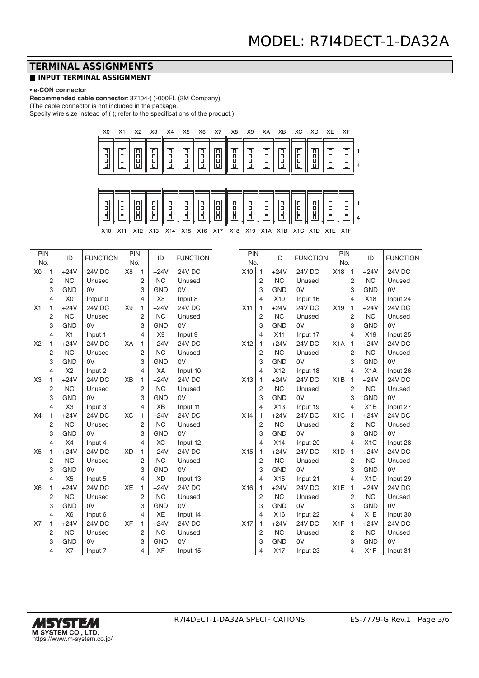## **TERMINAL ASSIGNMENTS**

#### **■ INPUT TERMINAL ASSIGNMENT**

#### • **e-CON connector**

**Recommended cable connector**: 37104-( )-000FL (3M Company) (The cable connector is not included in the package.

Specify wire size instead of ( ); refer to the specifications of the product.)



| PIN            |                | ID             | <b>FUNCTION</b> | PIN            |                         | ID             | <b>FUNCTION</b> |
|----------------|----------------|----------------|-----------------|----------------|-------------------------|----------------|-----------------|
| No.            |                |                | No.             |                |                         |                |                 |
| X <sub>0</sub> | 1              | $+24V$         | 24V DC          | X <sub>8</sub> | 1                       | $+24V$         | 24V DC          |
|                | 2              | <b>NC</b>      | Unused          |                | 2                       | <b>NC</b>      | Unused          |
|                | 3              | <b>GND</b>     | 0V              |                | 3                       | <b>GND</b>     | 0V              |
|                | $\overline{4}$ | X <sub>0</sub> | Intput 0        |                | 4                       | X <sub>8</sub> | Input 8         |
| X1             | 1              | $+24V$         | <b>24V DC</b>   | X9             | $\mathbf{1}$            | $+24V$         | <b>24V DC</b>   |
|                | $\overline{c}$ | <b>NC</b>      | Unused          |                | 2                       | <b>NC</b>      | Unused          |
|                | 3              | <b>GND</b>     | 0V              |                | 3                       | <b>GND</b>     | 0V              |
|                | $\overline{4}$ | X1             | Input 1         |                | 4                       | X9             | Input 9         |
| X2             | 1              | $+24V$         | <b>24V DC</b>   | XA             | $\mathbf{1}$            | $+24V$         | <b>24V DC</b>   |
|                | $\overline{2}$ | <b>NC</b>      | Unused          |                | $\overline{2}$          | <b>NC</b>      | Unused          |
|                | 3              | <b>GND</b>     | 0V              |                | 3                       | <b>GND</b>     | 0V              |
|                | $\overline{4}$ | X <sub>2</sub> | Input 2         |                | 4                       | XA             | Input 10        |
| X <sub>3</sub> | 1              | $+24V$         | <b>24V DC</b>   | <b>XB</b>      | 1                       | $+24V$         | <b>24V DC</b>   |
|                | $\overline{2}$ | <b>NC</b>      | Unused          |                | $\overline{2}$          | <b>NC</b>      | Unused          |
|                | 3              | <b>GND</b>     | 0V              |                | 3                       | <b>GND</b>     | 0V              |
|                | $\overline{4}$ | X <sub>3</sub> | Input 3         |                | 4                       | <b>XB</b>      | Input 11        |
| X4             | $\mathbf{1}$   | $+24V$         | 24V DC          | <b>XC</b>      | 1                       | $+24V$         | 24V DC          |
|                | $\overline{2}$ | <b>NC</b>      | Unused          |                | $\overline{c}$          | <b>NC</b>      | Unused          |
|                | 3              | <b>GND</b>     | 0V              |                | 3                       | <b>GND</b>     | 0V              |
|                | $\overline{4}$ | X4             | Input 4         |                | 4                       | <b>XC</b>      | Input 12        |
| X <sub>5</sub> | $\mathbf{1}$   | $+24V$         | <b>24V DC</b>   | <b>XD</b>      | 1                       | $+24V$         | <b>24V DC</b>   |
|                | $\overline{2}$ | <b>NC</b>      | Unused          |                | $\overline{2}$          | <b>NC</b>      | Unused          |
|                | 3              | <b>GND</b>     | 0V              |                | 3                       | <b>GND</b>     | 0V              |
|                | $\overline{4}$ | X <sub>5</sub> | Input 5         |                | 4                       | <b>XD</b>      | Input 13        |
| X <sub>6</sub> | 1              | $+24V$         | 24V DC          | <b>XE</b>      | 1                       | $+24V$         | <b>24V DC</b>   |
|                | $\overline{2}$ | <b>NC</b>      | Unused          |                | 2                       | <b>NC</b>      | Unused          |
|                | 3              | <b>GND</b>     | 0V              |                | 3                       | <b>GND</b>     | 0V              |
|                | $\overline{4}$ | X <sub>6</sub> | Input 6         |                | 4                       | XE             | Input 14        |
| <b>X7</b>      | 1              | $+24V$         | 24V DC          | <b>XF</b>      | 1                       | $+24V$         | 24V DC          |
|                | $\overline{c}$ | <b>NC</b>      | Unused          |                | 2                       | <b>NC</b>      | Unused          |
|                | 3              | <b>GND</b>     | 0V              |                | 3                       | <b>GND</b>     | 0V              |
|                | $\overline{4}$ | X7             | Input 7         |                | $\overline{\mathbf{4}}$ | XF             | Input 15        |

| PIN<br>No. |                         | ID         | <b>FUNCTION</b> | PIN<br>No.       |                          | ID               | <b>FUNCTION</b> |
|------------|-------------------------|------------|-----------------|------------------|--------------------------|------------------|-----------------|
| X10        | 1                       | $+24V$     | <b>24V DC</b>   | X18              | 1                        | $+24V$           | <b>24V DC</b>   |
|            | $\overline{2}$          | <b>NC</b>  | Unused          |                  | 2                        | <b>NC</b>        | Unused          |
|            | 3                       | <b>GND</b> | 0V              |                  | 3                        | <b>GND</b>       | 0V              |
|            | 4                       | X10        | Input 16        |                  | 4                        | X18              | Input 24        |
| X11        | 1                       | $+24V$     | 24V DC          | X19              | 1                        | $+24V$           | <b>24V DC</b>   |
|            | $\overline{2}$          | <b>NC</b>  | Unused          |                  | 2                        | <b>NC</b>        | Unused          |
|            | 3                       | <b>GND</b> | 0V              |                  | 3                        | <b>GND</b>       | 0V              |
|            | 4                       | X11        | Input 17        |                  | 4                        | X19              | Input 25        |
| X12        | 1                       | $+24V$     | <b>24V DC</b>   | X1A              | 1                        | $+24V$           | <b>24V DC</b>   |
|            | $\overline{2}$          | <b>NC</b>  | Unused          |                  | $\overline{2}$           | <b>NC</b>        | Unused          |
|            | 3                       | <b>GND</b> | 0V              |                  | 3                        | <b>GND</b>       | 0V              |
|            | 4                       | X12        | Input 18        |                  | 4                        | X <sub>1</sub> A | Input 26        |
| X13        | $\mathbf{1}$            | $+24V$     | <b>24V DC</b>   | X1B              | $\mathbf{1}$             | $+24V$           | <b>24V DC</b>   |
|            | 2                       | <b>NC</b>  | Unused          |                  | 2                        | <b>NC</b>        | Unused          |
|            | 3                       | <b>GND</b> | 0V              |                  | 3                        | <b>GND</b>       | 0V              |
|            | $\overline{\mathbf{4}}$ | X13        | Input 19        |                  | $\overline{\mathcal{L}}$ | X1B              | Input 27        |
| X14        | 1                       | $+24V$     | 24V DC          | X1C              | 1                        | $+24V$           | <b>24V DC</b>   |
|            | $\overline{2}$          | <b>NC</b>  | Unused          |                  | 2                        | <b>NC</b>        | Unused          |
|            | 3                       | <b>GND</b> | 0V              |                  | 3                        | <b>GND</b>       | 0V              |
|            | 4                       | X14        | Input 20        |                  | 4                        | X1C              | Input 28        |
| X15        | 1                       | $+24V$     | 24V DC          | X <sub>1</sub> D | 1                        | $+24V$           | <b>24V DC</b>   |
|            | $\overline{c}$          | <b>NC</b>  | Unused          |                  | 2                        | <b>NC</b>        | Unused          |
|            | 3                       | <b>GND</b> | 0V              |                  | 3                        | <b>GND</b>       | 0V              |
|            | 4                       | X15        | Input 21        |                  | 4                        | X <sub>1</sub> D | Input 29        |
| X16        | 1                       | $+24V$     | 24V DC          | X <sub>1</sub> E | 1                        | $+24V$           | 24V DC          |
|            | $\overline{2}$          | <b>NC</b>  | Unused          |                  | 2                        | <b>NC</b>        | Unused          |
|            | 3                       | <b>GND</b> | 0V              |                  | 3                        | <b>GND</b>       | 0V              |
|            | 4                       | X16        | Input 22        |                  | 4                        | X1E              | Input 30        |
| X17        | 1                       | $+24V$     | <b>24V DC</b>   | X <sub>1</sub> F | 1                        | $+24V$           | <b>24V DC</b>   |
|            | 2                       | <b>NC</b>  | Unused          |                  | 2                        | <b>NC</b>        | Unused          |
|            | 3                       | <b>GND</b> | 0V              |                  | 3                        | <b>GND</b>       | 0V              |
|            | 4                       | X17        | Input 23        |                  | $\overline{\mathcal{L}}$ | X <sub>1</sub> F | Input 31        |

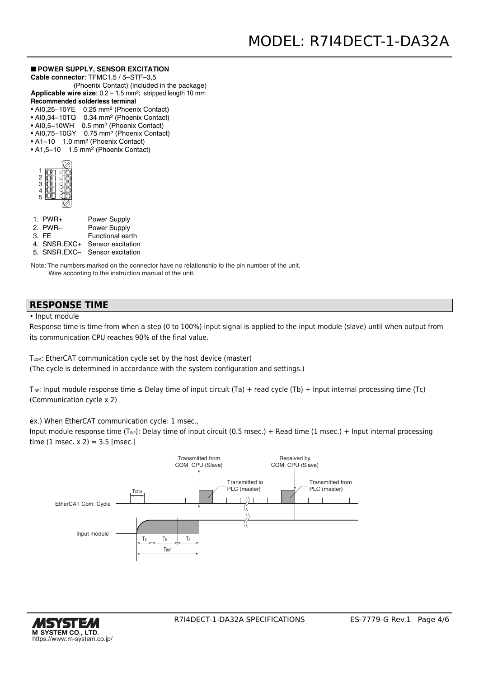#### ■ **POWER SUPPLY, SENSOR EXCITATION**

**Cable connector**: TFMC1,5 / 5–STF–3,5

 (Phoenix Contact) (included in the package) Applicable wire size: 0.2 - 1.5 mm<sup>2</sup>; stripped length 10 mm

#### **Recommended solderless terminal**

• AI0,25−10YE 0.25 mm2 (Phoenix Contact)

- AI0,34−10TQ 0.34 mm2 (Phoenix Contact)
- AI0,5−10WH 0.5 mm2 (Phoenix Contact)
- AI0,75−10GY 0.75 mm2 (Phoenix Contact)
- A1−10 1.0 mm2 (Phoenix Contact) • A1,5−10 1.5 mm2 (Phoenix Contact)

| $\frac{2}{3}$<br>+<br>5 |  |
|-------------------------|--|
|                         |  |

| $1.$ PWR+ | Power Supply        |
|-----------|---------------------|
| 2. PWR-   | <b>Power Supply</b> |

- 3. FE Functional earth
- 4. SNSR.EXC+ Sensor excitation
- 5. SNSR.EXC– Sensor excitation

Note: The numbers marked on the connector have no relationship to the pin number of the unit. Wire according to the instruction manual of the unit.

#### **RESPONSE TIME**

• Input module

Response time is time from when a step (0 to 100%) input signal is applied to the input module (slave) until when output from its communication CPU reaches 90% of the final value.

T<sub>COM</sub>: EtherCAT communication cycle set by the host device (master)

(The cycle is determined in accordance with the system configuration and settings.)

T<sub>INP</sub>: Input module response time  $\leq$  Delay time of input circuit (Ta) + read cycle (Tb) + Input internal processing time (Tc) (Communication cycle x 2)

ex.) When EtherCAT communication cycle: 1 msec.,

Input module response time (T<sub>NP</sub>): Delay time of input circuit (0.5 msec.) + Read time (1 msec.) + Input internal processing time  $(1 \text{ msec. x } 2) = 3.5 \text{ [msec.]}$ 



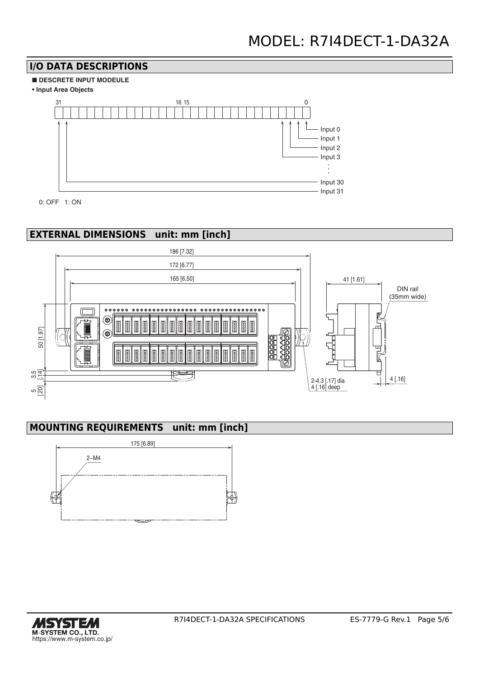# **I/O DATA DESCRIPTIONS**







0: OFF 1: ON

# **EXTERNAL DIMENSIONS unit: mm [inch]**



# **MOUNTING REQUIREMENTS unit: mm [inch]**